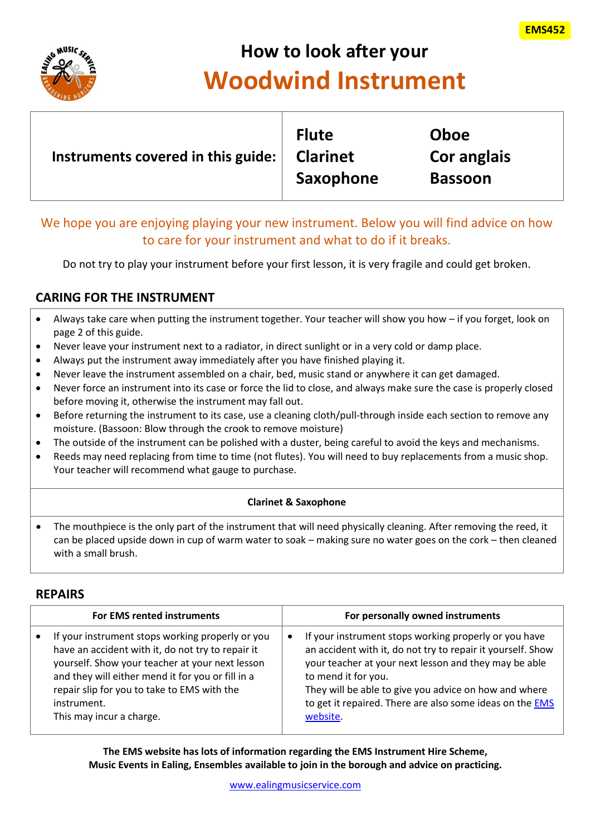

# **How to look after your Woodwind Instrument**

| Instruments covered in this guide: | <b>Flute</b><br><b>Clarinet</b><br>Saxophone | <b>Oboe</b><br>Cor anglais<br><b>Bassoon</b> |  |
|------------------------------------|----------------------------------------------|----------------------------------------------|--|
|------------------------------------|----------------------------------------------|----------------------------------------------|--|

# We hope you are enjoying playing your new instrument. Below you will find advice on how to care for your instrument and what to do if it breaks.

Do not try to play your instrument before your first lesson, it is very fragile and could get broken.

## **CARING FOR THE INSTRUMENT**

- Always take care when putting the instrument together. Your teacher will show you how if you forget, look on page 2 of this guide.
- Never leave your instrument next to a radiator, in direct sunlight or in a very cold or damp place.
- Always put the instrument away immediately after you have finished playing it.
- Never leave the instrument assembled on a chair, bed, music stand or anywhere it can get damaged.
- Never force an instrument into its case or force the lid to close, and always make sure the case is properly closed before moving it, otherwise the instrument may fall out.
- Before returning the instrument to its case, use a cleaning cloth/pull-through inside each section to remove any moisture. (Bassoon: Blow through the crook to remove moisture)
- The outside of the instrument can be polished with a duster, being careful to avoid the keys and mechanisms.
- Reeds may need replacing from time to time (not flutes). You will need to buy replacements from a music shop. Your teacher will recommend what gauge to purchase.

#### **Clarinet & Saxophone**

• The mouthpiece is the only part of the instrument that will need physically cleaning. After removing the reed, it can be placed upside down in cup of warm water to soak – making sure no water goes on the cork – then cleaned with a small brush.

## **REPAIRS**

| <b>For EMS rented instruments</b>                                                                                                                                                                                                                                                                       | For personally owned instruments                                                                                                                                                                                                                                                                                                                   |  |
|---------------------------------------------------------------------------------------------------------------------------------------------------------------------------------------------------------------------------------------------------------------------------------------------------------|----------------------------------------------------------------------------------------------------------------------------------------------------------------------------------------------------------------------------------------------------------------------------------------------------------------------------------------------------|--|
| If your instrument stops working properly or you<br>have an accident with it, do not try to repair it<br>yourself. Show your teacher at your next lesson<br>and they will either mend it for you or fill in a<br>repair slip for you to take to EMS with the<br>instrument.<br>This may incur a charge. | If your instrument stops working properly or you have<br>$\bullet$<br>an accident with it, do not try to repair it yourself. Show<br>your teacher at your next lesson and they may be able<br>to mend it for you.<br>They will be able to give you advice on how and where<br>to get it repaired. There are also some ideas on the EMS<br>website. |  |

**The EMS website has lots of information regarding the EMS Instrument Hire Scheme, Music Events in Ealing, Ensembles available to join in the borough and advice on practicing.**